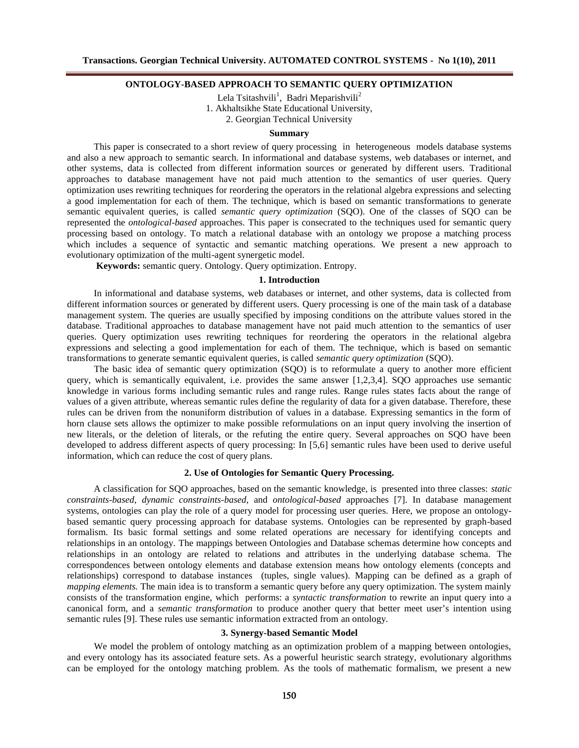## **ONTOLOGY-BASED APPROACH TO SEMANTIC QUERY OPTIMIZATION**

Lela Tsitashvili<sup>1</sup>, Badri Meparishvili<sup>2</sup> 1. Akhaltsikhe State Educational University, 2. Georgian Technical University

### **Summary**

This paper is consecrated to a short review of query processing in heterogeneous models database systems and also a new approach to semantic search. In informational and database systems, web databases or internet, and other systems, data is collected from different information sources or generated by different users. Traditional approaches to database management have not paid much attention to the semantics of user queries. Query optimization uses rewriting techniques for reordering the operators in the relational algebra expressions and selecting a good implementation for each of them. The technique, which is based on semantic transformations to generate semantic equivalent queries, is called *semantic query optimization* (SQO). One of the classes of SQO can be represented the *ontological-based* approaches. This paper is consecrated to the techniques used for semantic query processing based on ontology. To match a relational database with an ontology we propose a matching process which includes a sequence of syntactic and semantic matching operations. We present a new approach to evolutionary optimization of the multi-agent synergetic model.

**Keywords:** semantic query. Ontology. Query optimization. Entropy.

## **1. Introduction**

In informational and database systems, web databases or internet, and other systems, data is collected from different information sources or generated by different users. Query processing is one of the main task of a database management system. The queries are usually specified by imposing conditions on the attribute values stored in the database. Traditional approaches to database management have not paid much attention to the semantics of user queries. Query optimization uses rewriting techniques for reordering the operators in the relational algebra expressions and selecting a good implementation for each of them. The technique, which is based on semantic transformations to generate semantic equivalent queries, is called *semantic query optimization* (SQO).

The basic idea of semantic query optimization (SQO) is to reformulate a query to another more efficient query, which is semantically equivalent, i.e. provides the same answer [1,2,3,4]. SQO approaches use semantic knowledge in various forms including semantic rules and range rules. Range rules states facts about the range of values of a given attribute, whereas semantic rules define the regularity of data for a given database. Therefore, these rules can be driven from the nonuniform distribution of values in a database. Expressing semantics in the form of horn clause sets allows the optimizer to make possible reformulations on an input query involving the insertion of new literals, or the deletion of literals, or the refuting the entire query. Several approaches on SQO have been developed to address different aspects of query processing: In [5,6] semantic rules have been used to derive useful information, which can reduce the cost of query plans.

## **2. Use of Ontologies for Semantic Query Processing.**

A classification for SQO approaches, based on the semantic knowledge, is presented into three classes: *static constraints-based*, *dynamic constraints-based*, and *ontological-based* approaches [7]. In database management systems, ontologies can play the role of a query model for processing user queries. Here, we propose an ontologybased semantic query processing approach for database systems. Ontologies can be represented by graph-based formalism. Its basic formal settings and some related operations are necessary for identifying concepts and relationships in an ontology. The mappings between Ontologies and Database schemas determine how concepts and relationships in an ontology are related to relations and attributes in the underlying database schema. The correspondences between ontology elements and database extension means how ontology elements (concepts and relationships) correspond to database instances (tuples, single values). Mapping can be defined as a graph of *mapping elements*. The main idea is to transform a semantic query before any query optimization. The system mainly consists of the transformation engine, which performs: a *syntactic transformation* to rewrite an input query into a canonical form, and a *semantic transformation* to produce another query that better meet user's intention using semantic rules [9]. These rules use semantic information extracted from an ontology.

### **3. Synergy-based Semantic Model**

We model the problem of ontology matching as an optimization problem of a mapping between ontologies, and every ontology has its associated feature sets. As a powerful heuristic search strategy, evolutionary algorithms can be employed for the ontology matching problem. As the tools of mathematic formalism, we present a new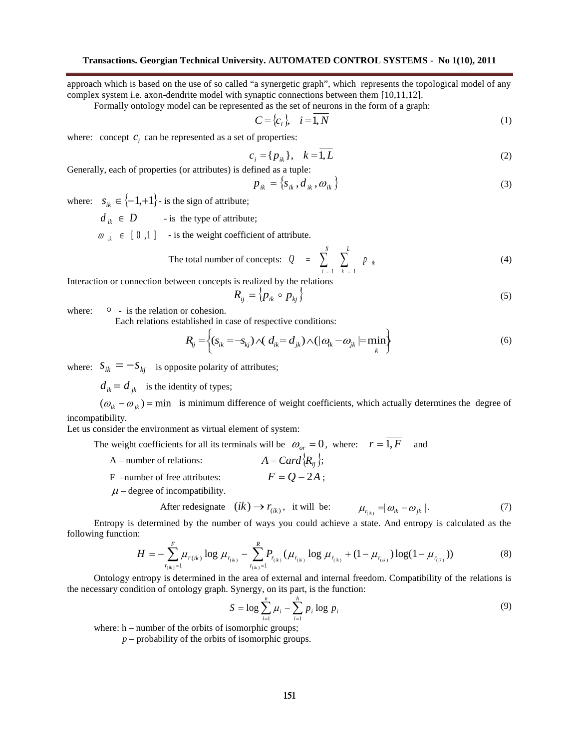approach which is based on the use of so called "a synergetic graph", which represents the topological model of any complex system i.e. axon-dendrite model with synaptic connections between them [10,11,12].

Formally ontology model can be represented as the set of neurons in the form of a graph:

$$
C = \{c_i\}, \quad i = 1, N \tag{1}
$$

where: concept  $c_i$  can be represented as a set of properties:

$$
c_i = \{p_{ik}\}, \quad k = \overline{1, L} \tag{2}
$$

Generally, each of properties (or attributes) is defined as a tuple:

$$
p_{ik} = \left\{ s_{ik}, d_{ik}, \omega_{ik} \right\} \tag{3}
$$

where:  $s_{ik} \in \{-1,+1\}$  is the sign of attribute;

 $d_{ik} \in D$  - is the type of attribute;

 $\omega_{ik} \in [0,1]$  - is the weight coefficient of attribute.

The total number of concepts: 
$$
Q = \sum_{i=1}^{N} \sum_{k=1}^{L} p_{ik}
$$
 (4)

Interaction or connection between concepts is realized by the relations

$$
R_{ij} = \langle p_{ik} \circ p_{kj} \rangle \tag{5}
$$

where:  $\circ$  - is the relation or cohesion.

Each relations established in case of respective conditions:

$$
R_{ij} = \left\{ (s_{ik} = -s_{kj}) \wedge (d_{ik} = d_{jk}) \wedge (|\omega_{ik} - \omega_{jk}| = \min_{k} \right\}
$$
(6)

where:  $S_{ik} = -S_{ki}$  is opposite polarity of attributes;

 $d_{ik} = d_{ik}$  is the identity of types;

 $({\omega_{ik} - \omega_{ik}})$  = min *is* minimum difference of weight coefficients, which actually determines the degree of incompatibility.

Let us consider the environment as virtual element of system:

The weight coefficients for all its terminals will be  $\omega_{or} = 0$ , where:  $r = \overline{1, F}$  and

- A number of relations:  $A = Card \{ R_i \};$
- F –number of free attributes:  $F = Q 2A$ ;

 $\mu$  – degree of incompatibility.

After redesignate 
$$
(ik) \rightarrow r_{(ik)}
$$
, it will be:  $\mu_{r_{(ik)}} = |\omega_{ik} - \omega_{jk}|$ . (7)

Entropy is determined by the number of ways you could achieve a state. And entropy is calculated as the following function:

$$
H = -\sum_{r_{(ik)}=1}^{F} \mu_{r_{(ik)}} \log \mu_{r_{(ik)}} - \sum_{r_{(ik)}=1}^{R} P_{r_{(ik)}} (\mu_{r_{(ik)}} \log \mu_{r_{(ik)}} + (1 - \mu_{r_{(ik)}}) \log (1 - \mu_{r_{(ik)}}))
$$
(8)

Ontology entropy is determined in the area of external and internal freedom. Compatibility of the relations is the necessary condition of ontology graph. Synergy, on its part, is the function:

$$
S = \log \sum_{i=1}^{n} \mu_i - \sum_{i=1}^{h} p_i \log p_i
$$
 (9)

where: h – number of the orbits of isomorphic groups;

*p* – probability of the orbits of isomorphic groups.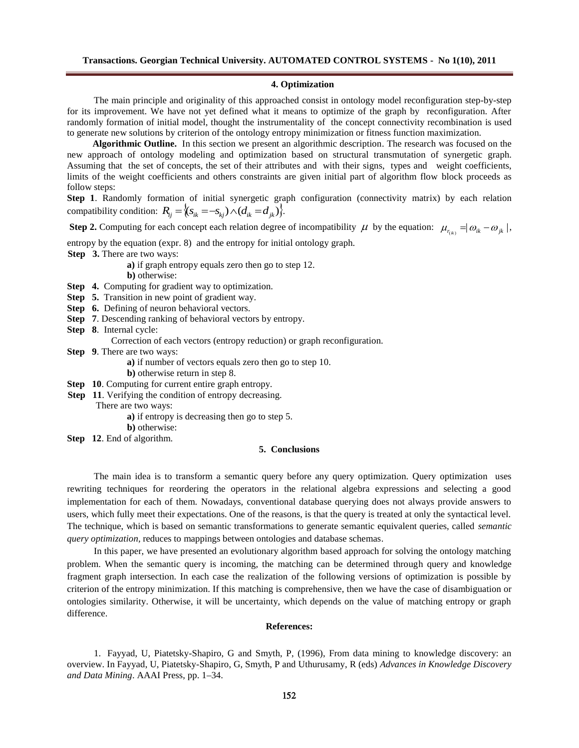#### **4. Optimization**

The main principle and originality of this approached consist in ontology model reconfiguration step-by-step for its improvement. We have not yet defined what it means to optimize of the graph by reconfiguration. After randomly formation of initial model, thought the instrumentality of the concept connectivity recombination is used to generate new solutions by criterion of the ontology entropy minimization or fitness function maximization.

**Algorithmic Outline.** In this section we present an algorithmic description. The research was focused on the new approach of ontology modeling and optimization based on structural transmutation of synergetic graph. Assuming that the set of concepts, the set of their attributes and with their signs, types and weight coefficients, limits of the weight coefficients and others constraints are given initial part of algorithm flow block proceeds as follow steps:

**Step 1**. Randomly formation of initial synergetic graph configuration (connectivity matrix) by each relation compatibility condition:  $R_{ii} = \langle (s_{ik} = -s_{ki}) \wedge (d_{ik} = d_{ik}) \rangle$ .

**Step 2.** Computing for each concept each relation degree of incompatibility  $\mu$  by the equation:  $\mu_{r_{(ik)}} = |\omega_{ik} - \omega_{jk}|$ ,

entropy by the equation (expr. 8) and the entropy for initial ontology graph.

**Step 3.** There are two ways:

**a)** if graph entropy equals zero then go to step 12. **b)** otherwise:

- **Step 4.** Computing for gradient way to optimization.
- **Step 5.** Transition in new point of gradient way.
- **Step 6.** Defining of neuron behavioral vectors.
- **Step 7.** Descending ranking of behavioral vectors by entropy.
- **Step 8**. Internal cycle:
	- Correction of each vectors (entropy reduction) or graph reconfiguration.
- **Step 9**. There are two ways:
	- **a)** if number of vectors equals zero then go to step 10.
	- **b)** otherwise return in step 8.

**Step 10.** Computing for current entire graph entropy.

- **Step 11.** Verifying the condition of entropy decreasing.
	- There are two ways:
		- **a)** if entropy is decreasing then go to step 5.
		- **b)** otherwise:
- **Step 12**. End of algorithm.

#### **5. Conclusions**

The main idea is to transform a semantic query before any query optimization. Query optimization uses rewriting techniques for reordering the operators in the relational algebra expressions and selecting a good implementation for each of them. Nowadays, conventional database querying does not always provide answers to users, which fully meet their expectations. One of the reasons, is that the query is treated at only the syntactical level. The technique, which is based on semantic transformations to generate semantic equivalent queries, called *semantic query optimization,* reduces to mappings between ontologies and database schemas.

In this paper, we have presented an evolutionary algorithm based approach for solving the ontology matching problem. When the semantic query is incoming, the matching can be determined through query and knowledge fragment graph intersection. In each case the realization of the following versions of optimization is possible by criterion of the entropy minimization. If this matching is comprehensive, then we have the case of disambiguation or ontologies similarity. Otherwise, it will be uncertainty, which depends on the value of matching entropy or graph difference.

### **References:**

1. Fayyad, U, Piatetsky-Shapiro, G and Smyth, P, (1996), From data mining to knowledge discovery: an overview. In Fayyad, U, Piatetsky-Shapiro, G, Smyth, P and Uthurusamy, R (eds) *Advances in Knowledge Discovery and Data Mining*. AAAI Press, pp. 1–34.